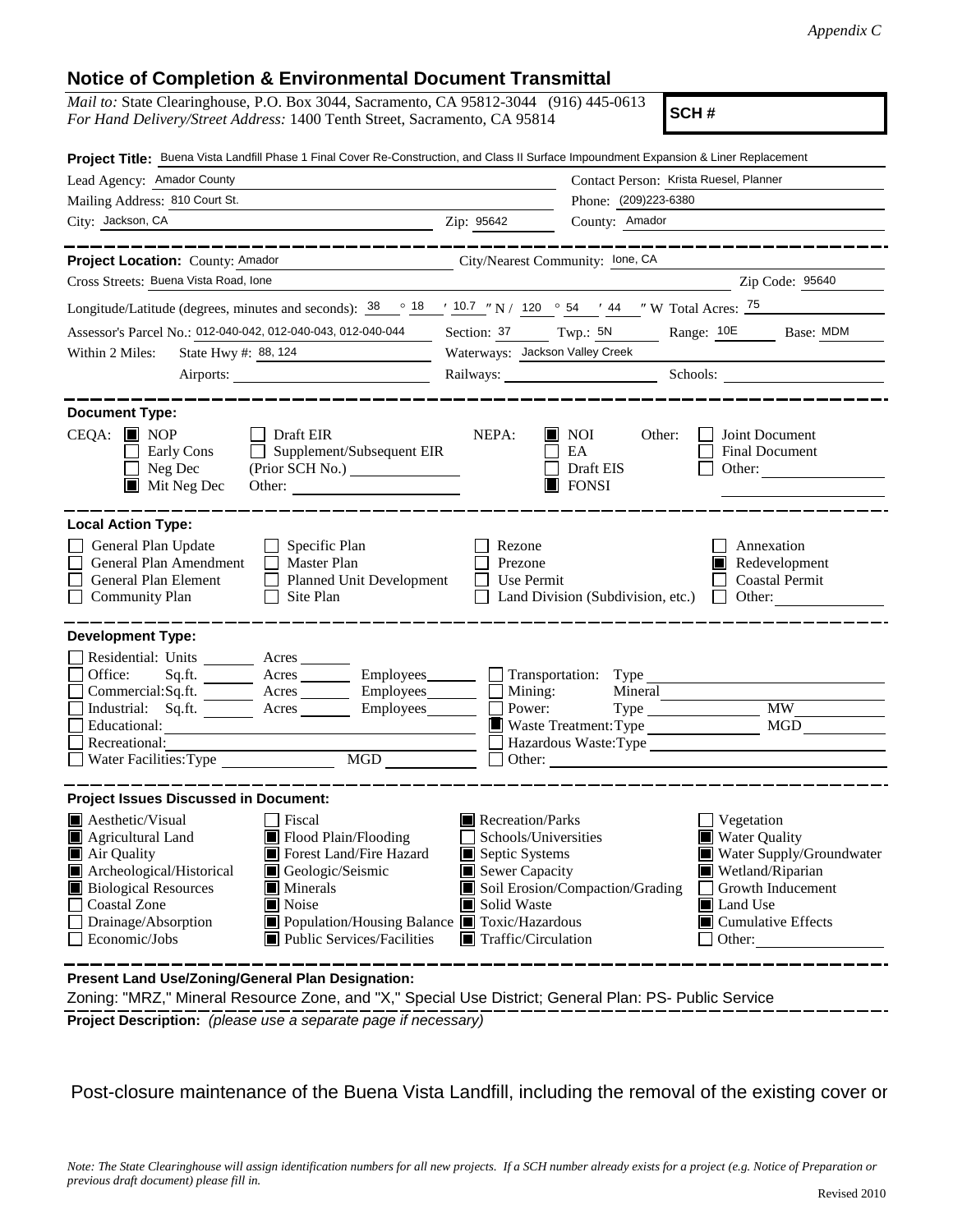## **Notice of Completion & Environmental Document Transmittal**

| $3000$ or open protion $\alpha$                                                                                                                                                                                                                                                                                                                                                             |                                                                                                                                                                      |                                                                                                                                                                                       |
|---------------------------------------------------------------------------------------------------------------------------------------------------------------------------------------------------------------------------------------------------------------------------------------------------------------------------------------------------------------------------------------------|----------------------------------------------------------------------------------------------------------------------------------------------------------------------|---------------------------------------------------------------------------------------------------------------------------------------------------------------------------------------|
| <i>Mail to:</i> State Clearinghouse, P.O. Box 3044, Sacramento, CA 95812-3044 (916) 445-0613<br>For Hand Delivery/Street Address: 1400 Tenth Street, Sacramento, CA 95814                                                                                                                                                                                                                   |                                                                                                                                                                      | SCH#                                                                                                                                                                                  |
| Project Title: Buena Vista Landfill Phase 1 Final Cover Re-Construction, and Class II Surface Impoundment Expansion & Liner Replacement                                                                                                                                                                                                                                                     |                                                                                                                                                                      |                                                                                                                                                                                       |
| Lead Agency: Amador County<br>Contact Person: Krista Ruesel, Planner                                                                                                                                                                                                                                                                                                                        |                                                                                                                                                                      |                                                                                                                                                                                       |
| Phone: (209)223-6380<br>Mailing Address: 810 Court St.                                                                                                                                                                                                                                                                                                                                      |                                                                                                                                                                      |                                                                                                                                                                                       |
| City: Jackson, CA                                                                                                                                                                                                                                                                                                                                                                           | Zip: 95642<br>County: Amador                                                                                                                                         |                                                                                                                                                                                       |
| Project Location: County: Amador<br>City/Nearest Community: lone, CA                                                                                                                                                                                                                                                                                                                        |                                                                                                                                                                      |                                                                                                                                                                                       |
| Cross Streets: Buena Vista Road, Ione                                                                                                                                                                                                                                                                                                                                                       |                                                                                                                                                                      | $\frac{2}{\sqrt{1-\frac{1}{2}}\sqrt{1-\frac{1}{2}}\sqrt{1-\frac{1}{2}}}}$ Zip Code: $\frac{95640}{\sqrt{1-\frac{1}{2}}\sqrt{1-\frac{1}{2}}\sqrt{1-\frac{1}{2}}\sqrt{1-\frac{1}{2}}}}$ |
| Longitude/Latitude (degrees, minutes and seconds): $\frac{38}{18}$ $\frac{18}{10.7}$ $\frac{10.7}{10.7}$ N / 120 $\degree$ 54 $\degree$ 44 $\degree$ W Total Acres: $\frac{75}{10.7}$                                                                                                                                                                                                       |                                                                                                                                                                      |                                                                                                                                                                                       |
| Assessor's Parcel No.: 012-040-042, 012-040-043, 012-040-044                                                                                                                                                                                                                                                                                                                                | Section: 37 Twp.: 5N Range: 10E Base: MDM                                                                                                                            |                                                                                                                                                                                       |
| State Hwy #: 88, 124<br>Within 2 Miles:<br><u> 1989 - Johann Barnett, f</u>                                                                                                                                                                                                                                                                                                                 | Waterways: Jackson Valley Creek                                                                                                                                      |                                                                                                                                                                                       |
| Airports:                                                                                                                                                                                                                                                                                                                                                                                   |                                                                                                                                                                      | Railways: Schools: Schools:                                                                                                                                                           |
|                                                                                                                                                                                                                                                                                                                                                                                             |                                                                                                                                                                      |                                                                                                                                                                                       |
| <b>Document Type:</b><br>CEQA: ■ NOP<br><b>Draft EIR</b><br>$\Box$ Supplement/Subsequent EIR<br>Early Cons<br>Neg Dec<br>$\blacksquare$ Mit Neg Dec<br>Other:                                                                                                                                                                                                                               | NEPA:<br>$\blacksquare$ NOI<br>Other:<br>EA<br>Draft EIS<br>$\Box$ FONSI                                                                                             | Joint Document<br>Final Document<br>Other:                                                                                                                                            |
| <b>Local Action Type:</b><br>General Plan Update<br>$\Box$ Specific Plan<br>General Plan Amendment<br>$\Box$ Master Plan<br>General Plan Element<br>Planned Unit Development<br><b>Community Plan</b><br>$\Box$ Site Plan                                                                                                                                                                   | Rezone<br>Prezone<br>Use Permit<br>Land Division (Subdivision, etc.)                                                                                                 | Annexation<br>Redevelopment<br><b>Coastal Permit</b><br>Other:<br>$\Box$                                                                                                              |
| <b>Development Type:</b>                                                                                                                                                                                                                                                                                                                                                                    |                                                                                                                                                                      |                                                                                                                                                                                       |
| Residential: Units ________ Acres _______<br>Sq.ft. _________ Acres __________ Employees________ ___ Transportation: Type _________________<br>Office:<br>Commercial:Sq.ft. Acres Employees<br>Industrial: Sq.ft. _______ Acres ________ Employees_______<br>Educational:<br>Recreational:<br>MGD<br>Water Facilities: Type                                                                 | Mining:<br>Power:<br>Waste Treatment: Type<br>Hazardous Waste:Type<br>$\Box$ Other:                                                                                  | <b>MW</b><br>Type<br>MGD                                                                                                                                                              |
| <b>Project Issues Discussed in Document:</b>                                                                                                                                                                                                                                                                                                                                                |                                                                                                                                                                      |                                                                                                                                                                                       |
| <b>Aesthetic/Visual</b><br>Fiscal<br>Agricultural Land<br>Flood Plain/Flooding<br>Forest Land/Fire Hazard<br>Air Quality<br>Archeological/Historical<br>Geologic/Seismic<br><b>Biological Resources</b><br>$\blacksquare$ Minerals<br><b>Coastal Zone</b><br>Noise<br>Ш<br>Drainage/Absorption<br>Population/Housing Balance Toxic/Hazardous<br>Economic/Jobs<br>Public Services/Facilities | Recreation/Parks<br>Schools/Universities<br>Septic Systems<br>$\blacksquare$ Sewer Capacity<br>Soil Erosion/Compaction/Grading<br>Solid Waste<br>Traffic/Circulation | Vegetation<br>■ Water Quality<br>Water Supply/Groundwater<br>Wetland/Riparian<br>Growth Inducement<br>Land Use<br>$\blacksquare$ Cumulative Effects<br>Other:                         |
| <b>Present Land Lise/Zoning/Ceneral Plan Designation:</b>                                                                                                                                                                                                                                                                                                                                   |                                                                                                                                                                      |                                                                                                                                                                                       |

**Present Land Use/Zoning/General Plan Designation:**

**Project Description:** *(please use a separate page if necessary)* Zoning: "MRZ," Mineral Resource Zone, and "X," Special Use District; General Plan: PS- Public Service

Post-closure maintenance of the Buena Vista Landfill, including the removal of the existing cover or